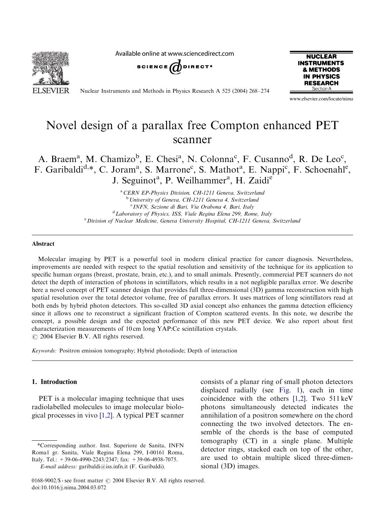**SEVIER** 

Available online at www.sciencedirect.com



Nuclear Instruments and Methods in Physics Research A 525 (2004) 268–274



www.elsevier.com/locate/nima

# Novel design of a parallax free Compton enhanced PET scanner

A. Braem<sup>a</sup>, M. Chamizo<sup>b</sup>, E. Chesi<sup>a</sup>, N. Colonna<sup>c</sup>, F. Cusanno<sup>d</sup>, R. De Leo<sup>c</sup>, F. Garibaldi<sup>d,\*</sup>, C. Joram<sup>a</sup>, S. Marrone<sup>c</sup>, S. Mathot<sup>a</sup>, E. Nappi<sup>c</sup>, F. Schoenahl<sup>e</sup>, J. Seguinot<sup>a</sup>, P. Weilhammer<sup>a</sup>, H. Zaidie

> <sup>a</sup> CERN EP-Physics Division, CH-1211 Geneva, Switzerland <sup>b</sup> University of Geneva, CH-1211 Geneva 4, Switzerland <sup>c</sup> INFN, Sezione di Bari, Via Orabona 4, Bari, Italy <sup>d</sup> Laboratory of Physics, ISS, Viale Regina Elena 299, Rome, Italy <sup>e</sup> Division of Nuclear Medicine, Geneva University Hospital, CH-1211 Geneva, Switzerland

#### Abstract

Molecular imaging by PET is a powerful tool in modern clinical practice for cancer diagnosis. Nevertheless, improvements are needed with respect to the spatial resolution and sensitivity of the technique for its application to specific human organs (breast, prostate, brain, etc.), and to small animals. Presently, commercial PET scanners do not detect the depth of interaction of photons in scintillators, which results in a not negligible parallax error. We describe here a novel concept of PET scanner design that provides full three-dimensional (3D) gamma reconstruction with high spatial resolution over the total detector volume, free of parallax errors. It uses matrices of long scintillators read at both ends by hybrid photon detectors. This so-called 3D axial concept also enhances the gamma detection efficiency since it allows one to reconstruct a significant fraction of Compton scattered events. In this note, we describe the concept, a possible design and the expected performance of this new PET device. We also report about first characterization measurements of 10 cm long YAP:Ce scintillation crystals.  $O$  2004 Elsevier B.V. All rights reserved.

Keywords: Positron emission tomography; Hybrid photodiode; Depth of interaction

#### 1. Introduction

PET is a molecular imaging technique that uses radiolabelled molecules to image molecular biological processes in vivo [\[1,2\].](#page-6-0) A typical PET scanner

E-mail address: garibaldi@iss.infn.it (F. Garibaldi).

consists of a planar ring of small photon detectors displaced radially (see [Fig. 1](#page-1-0)), each in time coincidence with the others [\[1,2\]](#page-6-0). Two 511 keV photons simultaneously detected indicates the annihilation of a positron somewhere on the chord connecting the two involved detectors. The ensemble of the chords is the base of computed tomography (CT) in a single plane. Multiple detector rings, stacked each on top of the other, are used to obtain multiple sliced three-dimensional (3D) images.

<sup>\*</sup>Corresponding author. Inst. Superiore de Sanita, INFN Roma1 gr. Sanita, Viale Regina Elena 299, I-00161 Roma, Italy. Tel.: +39-06-4990-2243/2347; fax: +39-06-4938-7075.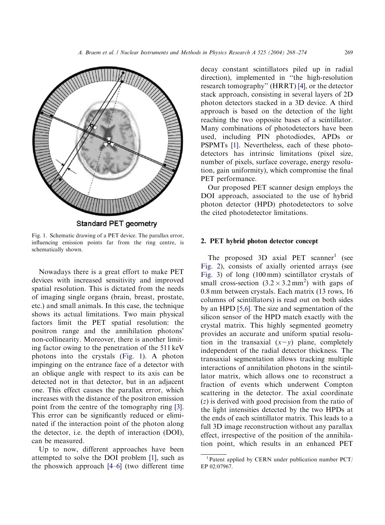<span id="page-1-0"></span>

Fig. 1. Schematic drawing of a PET device. The parallax error, influencing emission points far from the ring centre, is

schematically shown.

Nowadays there is a great effort to make PET devices with increased sensitivity and improved spatial resolution. This is dictated from the needs of imaging single organs (brain, breast, prostate, etc.) and small animals. In this case, the technique shows its actual limitations. Two main physical factors limit the PET spatial resolution: the positron range and the annihilation photons' non-collinearity. Moreover, there is another limiting factor owing to the penetration of the 511 keV photons into the crystals (Fig. 1). A photon impinging on the entrance face of a detector with an oblique angle with respect to its axis can be detected not in that detector, but in an adjacent one. This effect causes the parallax error, which increases with the distance of the positron emission point from the centre of the tomography ring [\[3\]](#page-6-0). This error can be significantly reduced or eliminated if the interaction point of the photon along the detector, i.e. the depth of interaction (DOI), can be measured.

Up to now, different approaches have been attempted to solve the DOI problem [\[1\]](#page-6-0), such as the phoswich approach [\[4–6\]](#page-6-0) (two different time

decay constant scintillators piled up in radial direction), implemented in ''the high-resolution research tomography'' (HRRT) [\[4\],](#page-6-0) or the detector stack approach, consisting in several layers of 2D photon detectors stacked in a 3D device. A third approach is based on the detection of the light reaching the two opposite bases of a scintillator. Many combinations of photodetectors have been used, including PIN photodiodes, APDs or PSPMTs [\[1\]](#page-6-0). Nevertheless, each of these photodetectors has intrinsic limitations (pixel size, number of pixels, surface coverage, energy resolution, gain uniformity), which compromise the final PET performance.

Our proposed PET scanner design employs the DOI approach, associated to the use of hybrid photon detector (HPD) photodetectors to solve the cited photodetector limitations.

### 2. PET hybrid photon detector concept

The proposed  $3D$  axial PET scanner<sup>1</sup> (see [Fig. 2\)](#page-2-0), consists of axially oriented arrays (see [Fig. 3](#page-3-0)) of long (100 mm) scintillator crystals of small cross-section  $(3.2 \times 3.2 \text{ mm}^2)$  with gaps of 0.8 mm between crystals. Each matrix (13 rows, 16 columns of scintillators) is read out on both sides by an HPD [\[5,6\].](#page-6-0) The size and segmentation of the silicon sensor of the HPD match exactly with the crystal matrix. This highly segmented geometry provides an accurate and uniform spatial resolution in the transaxial  $(x-y)$  plane, completely independent of the radial detector thickness. The transaxial segmentation allows tracking multiple interactions of annihilation photons in the scintillator matrix, which allows one to reconstruct a fraction of events which underwent Compton scattering in the detector. The axial coordinate (z) is derived with good precision from the ratio of the light intensities detected by the two HPDs at the ends of each scintillator matrix. This leads to a full 3D image reconstruction without any parallax effect, irrespective of the position of the annihilation point, which results in an enhanced PET

Patent applied by CERN under publication number PCT/ EP 02/07967.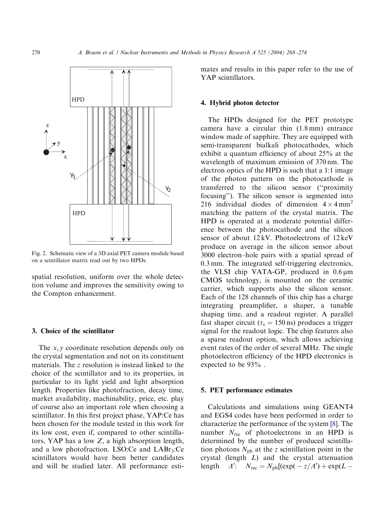<span id="page-2-0"></span>

Fig. 2. Schematic view of a 3D axial PET camera module based on a scintillator matrix read out by two HPDs.

spatial resolution, uniform over the whole detection volume and improves the sensitivity owing to the Compton enhancement.

#### 3. Choice of the scintillator

The  $x, y$  coordinate resolution depends only on the crystal segmentation and not on its constituent materials. The z resolution is instead linked to the choice of the scintillator and to its properties, in particular to its light yield and light absorption length. Properties like photofraction, decay time, market availability, machinability, price, etc. play of course also an important role when choosing a scintillator. In this first project phase, YAP:Ce has been chosen for the module tested in this work for its low cost, even if, compared to other scintillators, YAP has a low  $Z$ , a high absorption length, and a low photofraction. LSO:Ce and  $LABr_3$ :Ce scintillators would have been better candidates and will be studied later. All performance estimates and results in this paper refer to the use of YAP scintillators.

#### 4. Hybrid photon detector

The HPDs designed for the PET prototype camera have a circular thin (1.8 mm) entrance window made of sapphire. They are equipped with semi-transparent bialkali photocathodes, which exhibit a quantum efficiency of about 25% at the wavelength of maximum emission of 370 nm. The electron optics of the HPD is such that a 1:1 image of the photon pattern on the photocathode is transferred to the silicon sensor (''proximity focusing''). The silicon sensor is segmented into 216 individual diodes of dimension  $4 \times 4 \text{ mm}^2$ matching the pattern of the crystal matrix. The HPD is operated at a moderate potential difference between the photocathode and the silicon sensor of about 12 kV. Photoelectrons of 12 keV produce on average in the silicon sensor about 3000 electron–hole pairs with a spatial spread of 0.3 mm. The integrated self-triggering electronics, the VLSI chip VATA-GP, produced in  $0.6 \mu m$ CMOS technology, is mounted on the ceramic carrier, which supports also the silicon sensor. Each of the 128 channels of this chip has a charge integrating preamplifier, a shaper, a tunable shaping time, and a readout register. A parallel fast shaper circuit ( $\tau_s = 150 \text{ ns}$ ) produces a trigger signal for the readout logic. The chip features also a sparse readout option, which allows achieving event rates of the order of several MHz. The single photoelectron efficiency of the HPD electronics is expected to be 93% .

#### 5. PET performance estimates

Calculations and simulations using GEANT4 and EGS4 codes have been performed in order to characterize the performance of the system [\[8\]](#page-6-0). The number  $N_{\text{rec}}$  of photoelectrons in an HPD is determined by the number of produced scintillation photons  $N_{\text{ph}}$  at the z scintillation point in the crystal (length L) and the crystal attenuation length  $\Lambda'$ :  $N_{\text{rec}} = N_{\text{ph}}[(\exp(-z/\Lambda') + \exp(L -$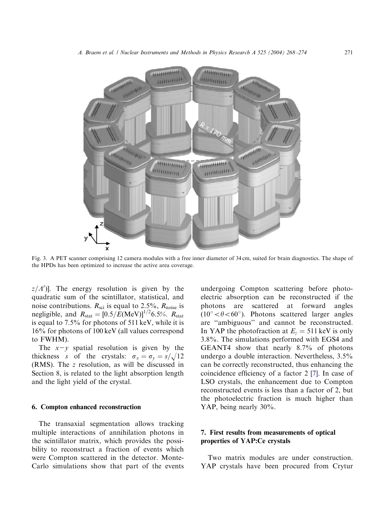<span id="page-3-0"></span>

Fig. 3. A PET scanner comprising 12 camera modules with a free inner diameter of 34 cm, suited for brain diagnostics. The shape of the HPDs has been optimized to increase the active area coverage.

 $z/A'$ ]. The energy resolution is given by the quadratic sum of the scintillator, statistical, and noise contributions.  $R_{\text{sci}}$  is equal to 2.5%,  $R_{\text{noise}}$  is negligible, and  $R_{\text{stat}} = [0.5/E(\text{MeV})]^{1/2}6.5\%$ .  $R_{\text{stat}}$ is equal to 7.5% for photons of 511 keV, while it is 16% for photons of 100 keV (all values correspond to FWHM).

The  $x-y$  spatial resolution is given by the thickness s of the crystals:  $\sigma_x = \sigma_y = s/\sqrt{12}$ (RMS). The z resolution, as will be discussed in Section 8, is related to the light absorption length and the light yield of the crystal.

#### 6. Compton enhanced reconstruction

The transaxial segmentation allows tracking multiple interactions of annihilation photons in the scintillator matrix, which provides the possibility to reconstruct a fraction of events which were Compton scattered in the detector. Monte-Carlo simulations show that part of the events

undergoing Compton scattering before photoelectric absorption can be reconstructed if the photons are scattered at forward angles  $(10^{\circ} < \theta < 60^{\circ})$ . Photons scattered larger angles are ''ambiguous'' and cannot be reconstructed. In YAP the photofraction at  $E_y = 511 \text{ keV}$  is only 3.8%. The simulations performed with EGS4 and GEANT4 show that nearly 8.7% of photons undergo a double interaction. Nevertheless, 3.5% can be correctly reconstructed, thus enhancing the coincidence efficiency of a factor 2 [\[7\].](#page-6-0) In case of LSO crystals, the enhancement due to Compton reconstructed events is less than a factor of 2, but the photoelectric fraction is much higher than YAP, being nearly 30%.

## 7. First results from measurements of optical properties of YAP:Ce crystals

Two matrix modules are under construction. YAP crystals have been procured from Crytur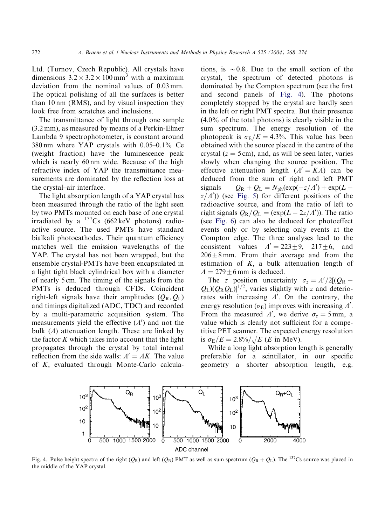Ltd. (Turnov, Czech Republic). All crystals have dimensions  $3.2 \times 3.2 \times 100 \text{ mm}^3$  with a maximum deviation from the nominal values of 0.03 mm. The optical polishing of all the surfaces is better than 10 nm (RMS), and by visual inspection they look free from scratches and inclusions.

The transmittance of light through one sample (3.2 mm), as measured by means of a Perkin-Elmer Lambda 9 spectrophotometer, is constant around 380 nm where YAP crystals with 0.05–0.1% Ce (weight fraction) have the luminescence peak which is nearly 60 nm wide. Because of the high refractive index of YAP the transmittance measurements are dominated by the reflection loss at the crystal–air interface.

The light absorption length of a YAP crystal has been measured through the ratio of the light seen by two PMTs mounted on each base of one crystal irradiated by a  $^{137}Cs$  (662 keV photons) radioactive source. The used PMTs have standard bialkali photocathodes. Their quantum efficiency matches well the emission wavelengths of the YAP. The crystal has not been wrapped, but the ensemble crystal-PMTs have been encapsulated in a light tight black cylindrical box with a diameter of nearly 5 cm. The timing of the signals from the PMTs is deduced through CFDs. Coincident right-left signals have their amplitudes  $(O_{\rm R}, O_{\rm L})$ and timings digitalized (ADC, TDC) and recorded by a multi-parametric acquisition system. The measurements yield the effective  $(A')$  and not the bulk  $(\Lambda)$  attenuation length. These are linked by the factor  $K$  which takes into account that the light propagates through the crystal by total internal reflection from the side walls:  $A' = AK$ . The value of K; evaluated through Monte-Carlo calcula-

tions, is  $\sim 0.8$ . Due to the small section of the crystal, the spectrum of detected photons is dominated by the Compton spectrum (see the first and second panels of Fig. 4). The photons completely stopped by the crystal are hardly seen in the left or right PMT spectra. But their presence  $(4.0\%$  of the total photons) is clearly visible in the sum spectrum. The energy resolution of the photopeak is  $\sigma_E/E = 4.3%$ . This value has been obtained with the source placed in the centre of the crystal ( $z = 5$  cm), and, as will be seen later, varies slowly when changing the source position. The effective attenuation length  $(A' = KA)$  can be deduced from the sum of right and left PMT signals  $Q_{\rm R} + Q_{\rm L} = N_{\rm ph} (\exp(-z/A') + \exp(L$  $z/A'$ ) (see [Fig. 5](#page-5-0)) for different positions of the radioactive source, and from the ratio of left to right signals  $Q_R/Q_L = (exp(L - 2z/A'))$ . The ratio (see [Fig. 6\)](#page-5-0) can also be deduced for photoeffect events only or by selecting only events at the Compton edge. The three analyses lead to the consistent values  $A' = 223 \pm 9$ , 217 $\pm 6$ , and  $206 + 8$  mm. From their average and from the estimation of  $K$ , a bulk attenuation length of  $\Lambda = 279 \pm 6$  mm is deduced.

The z position uncertainty  $\sigma_z = A'/2[(Q_R +$  $Q_{\rm L}$ )( $Q_{\rm R}$  $Q_{\rm L}$ )]<sup>1/2</sup>, varies slightly with z and deteriorates with increasing  $\Lambda'$ . On the contrary, the energy resolution ( $\sigma_{\rm E}$ ) improves with increasing  $\Lambda'$ . From the measured  $\Lambda'$ , we derive  $\sigma_z = 5$  mm, a value which is clearly not sufficient for a competitive PET scanner. The expected energy resolution is  $\sigma_E/E = 2.8\% / \sqrt{E(E \text{ in MeV})}$ .

While a long light absorption length is generally preferable for a scintillator, in our specific geometry a shorter absorption length, e.g.



Fig. 4. Pulse height spectra of the right  $(Q_R)$  and left  $(Q_R)$  PMT as well as sum spectrum  $(Q_R + Q_L)$ . The <sup>137</sup>Cs source was placed in the middle of the YAP crystal.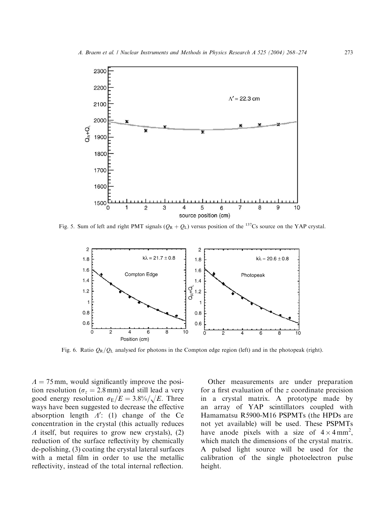<span id="page-5-0"></span>

Fig. 5. Sum of left and right PMT signals  $(Q_R + Q_L)$  versus position of the <sup>137</sup>Cs source on the YAP crystal.



Fig. 6. Ratio  $Q_R/Q_L$  analysed for photons in the Compton edge region (left) and in the photopeak (right).

 $\Lambda = 75$  mm, would significantly improve the position resolution ( $\sigma_z = 2.8$  mm) and still lead a very good energy resolution  $\sigma_E/E = 3.8\% / \sqrt{E}$ . Three ways have been suggested to decrease the effective absorption length  $A'$ : (1) change of the Ce concentration in the crystal (this actually reduces  $\Lambda$  itself, but requires to grow new crystals), (2) reduction of the surface reflectivity by chemically de-polishing, (3) coating the crystal lateral surfaces with a metal film in order to use the metallic reflectivity, instead of the total internal reflection.

Other measurements are under preparation for a first evaluation of the z coordinate precision in a crystal matrix. A prototype made by an array of YAP scintillators coupled with Hamamatsu R5900-M16 PSPMTs (the HPDs are not yet available) will be used. These PSPMTs have anode pixels with a size of  $4 \times 4 \text{ mm}^2$ , which match the dimensions of the crystal matrix. A pulsed light source will be used for the calibration of the single photoelectron pulse height.